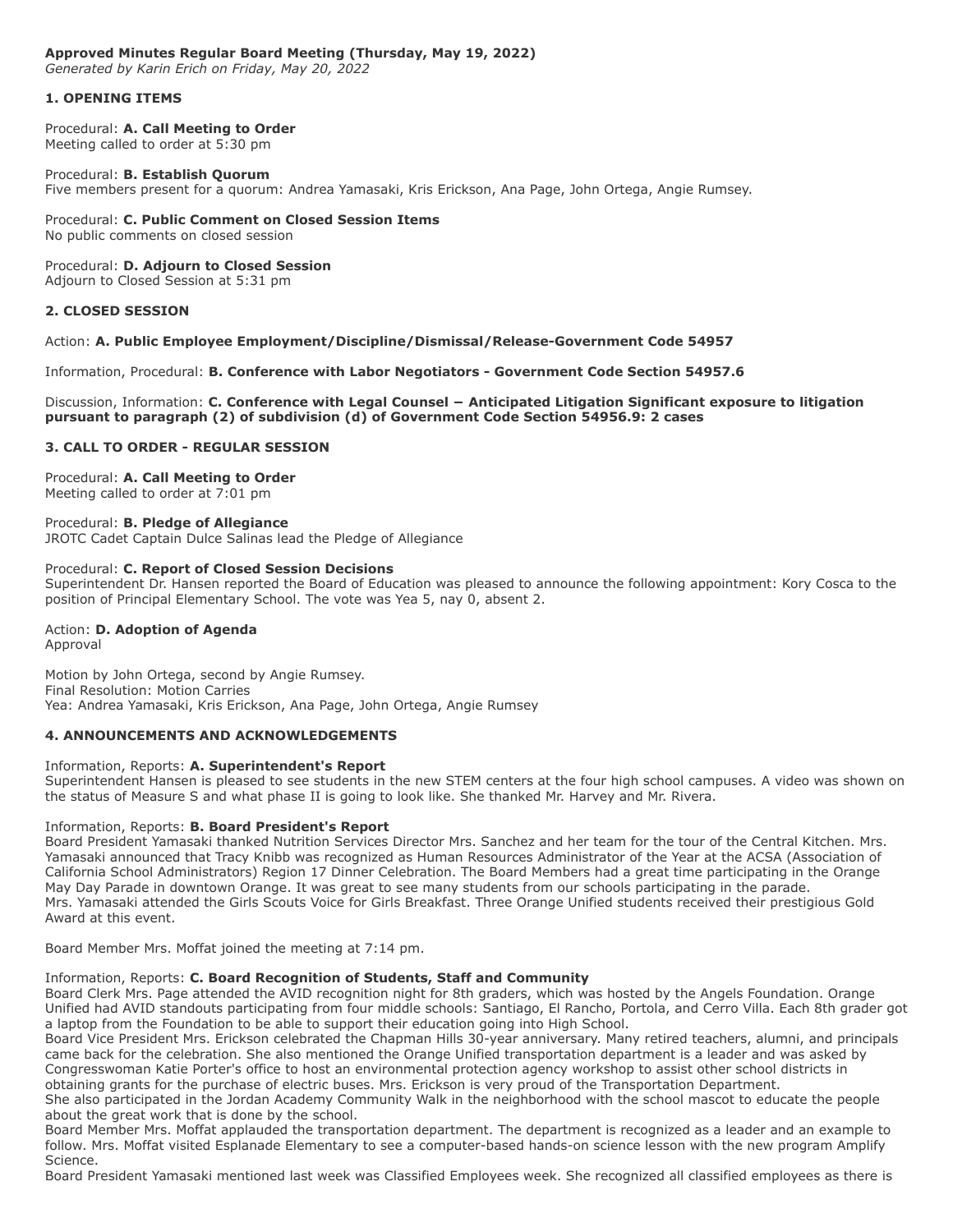*Generated by Karin Erich on Friday, May 20, 2022*

# **1. OPENING ITEMS**

Procedural: **A. Call Meeting to Order** Meeting called to order at 5:30 pm

# Procedural: **B. Establish Quorum**

Five members present for a quorum: Andrea Yamasaki, Kris Erickson, Ana Page, John Ortega, Angie Rumsey.

Procedural: **C. Public Comment on Closed Session Items** No public comments on closed session

Procedural: **D. Adjourn to Closed Session** Adjourn to Closed Session at 5:31 pm

# **2. CLOSED SESSION**

# Action: **A. Public Employee Employment/Discipline/Dismissal/Release-Government Code 54957**

Information, Procedural: **B. Conference with Labor Negotiators - Government Code Section 54957.6**

Discussion, Information: **C. Conference with Legal Counsel − Anticipated Litigation Significant exposure to litigation pursuant to paragraph (2) of subdivision (d) of Government Code Section 54956.9: 2 cases**

# **3. CALL TO ORDER - REGULAR SESSION**

Procedural: **A. Call Meeting to Order** Meeting called to order at 7:01 pm

Procedural: **B. Pledge of Allegiance** JROTC Cadet Captain Dulce Salinas lead the Pledge of Allegiance

# Procedural: **C. Report of Closed Session Decisions**

Superintendent Dr. Hansen reported the Board of Education was pleased to announce the following appointment: Kory Cosca to the position of Principal Elementary School. The vote was Yea 5, nay 0, absent 2.

## Action: **D. Adoption of Agenda**

Approval

Motion by John Ortega, second by Angie Rumsey. Final Resolution: Motion Carries Yea: Andrea Yamasaki, Kris Erickson, Ana Page, John Ortega, Angie Rumsey

## **4. ANNOUNCEMENTS AND ACKNOWLEDGEMENTS**

## Information, Reports: **A. Superintendent's Report**

Superintendent Hansen is pleased to see students in the new STEM centers at the four high school campuses. A video was shown on the status of Measure S and what phase II is going to look like. She thanked Mr. Harvey and Mr. Rivera.

## Information, Reports: **B. Board President's Report**

Board President Yamasaki thanked Nutrition Services Director Mrs. Sanchez and her team for the tour of the Central Kitchen. Mrs. Yamasaki announced that Tracy Knibb was recognized as Human Resources Administrator of the Year at the ACSA (Association of California School Administrators) Region 17 Dinner Celebration. The Board Members had a great time participating in the Orange May Day Parade in downtown Orange. It was great to see many students from our schools participating in the parade. Mrs. Yamasaki attended the Girls Scouts Voice for Girls Breakfast. Three Orange Unified students received their prestigious Gold Award at this event.

Board Member Mrs. Moffat joined the meeting at 7:14 pm.

# Information, Reports: **C. Board Recognition of Students, Staff and Community**

Board Clerk Mrs. Page attended the AVID recognition night for 8th graders, which was hosted by the Angels Foundation. Orange Unified had AVID standouts participating from four middle schools: Santiago, El Rancho, Portola, and Cerro Villa. Each 8th grader got a laptop from the Foundation to be able to support their education going into High School.

Board Vice President Mrs. Erickson celebrated the Chapman Hills 30-year anniversary. Many retired teachers, alumni, and principals came back for the celebration. She also mentioned the Orange Unified transportation department is a leader and was asked by Congresswoman Katie Porter's office to host an environmental protection agency workshop to assist other school districts in obtaining grants for the purchase of electric buses. Mrs. Erickson is very proud of the Transportation Department.

She also participated in the Jordan Academy Community Walk in the neighborhood with the school mascot to educate the people about the great work that is done by the school.

Board Member Mrs. Moffat applauded the transportation department. The department is recognized as a leader and an example to follow. Mrs. Moffat visited Esplanade Elementary to see a computer-based hands-on science lesson with the new program Amplify Science.

Board President Yamasaki mentioned last week was Classified Employees week. She recognized all classified employees as there is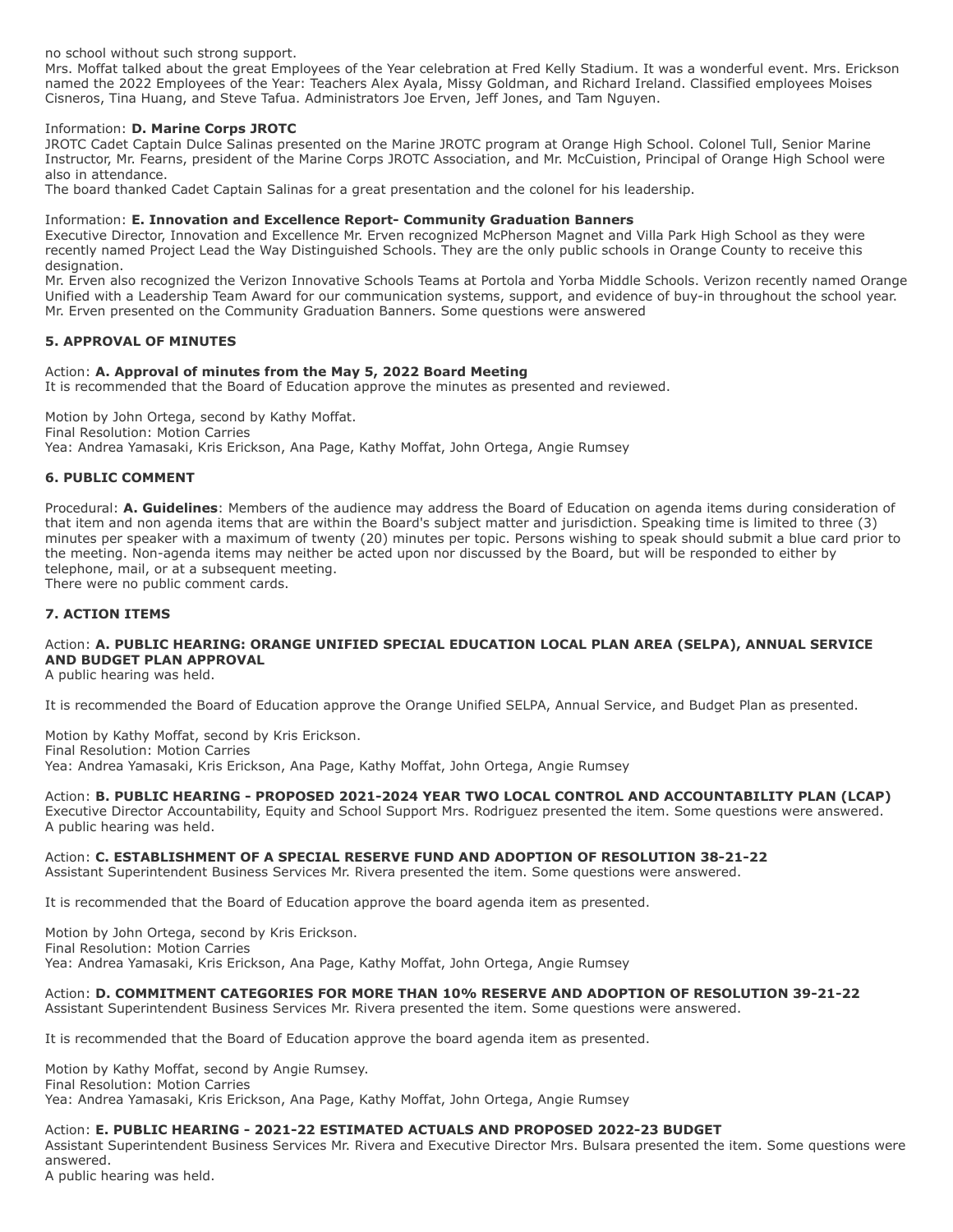no school without such strong support.

Mrs. Moffat talked about the great Employees of the Year celebration at Fred Kelly Stadium. It was a wonderful event. Mrs. Erickson named the 2022 Employees of the Year: Teachers Alex Ayala, Missy Goldman, and Richard Ireland. Classified employees Moises Cisneros, Tina Huang, and Steve Tafua. Administrators Joe Erven, Jeff Jones, and Tam Nguyen.

# Information: **D. Marine Corps JROTC**

JROTC Cadet Captain Dulce Salinas presented on the Marine JROTC program at Orange High School. Colonel Tull, Senior Marine Instructor, Mr. Fearns, president of the Marine Corps JROTC Association, and Mr. McCuistion, Principal of Orange High School were also in attendance.

The board thanked Cadet Captain Salinas for a great presentation and the colonel for his leadership.

## Information: **E. Innovation and Excellence Report- Community Graduation Banners**

Executive Director, Innovation and Excellence Mr. Erven recognized McPherson Magnet and Villa Park High School as they were recently named Project Lead the Way Distinguished Schools. They are the only public schools in Orange County to receive this designation.

Mr. Erven also recognized the Verizon Innovative Schools Teams at Portola and Yorba Middle Schools. Verizon recently named Orange Unified with a Leadership Team Award for our communication systems, support, and evidence of buy-in throughout the school year. Mr. Erven presented on the Community Graduation Banners. Some questions were answered

# **5. APPROVAL OF MINUTES**

# Action: **A. Approval of minutes from the May 5, 2022 Board Meeting**

It is recommended that the Board of Education approve the minutes as presented and reviewed.

Motion by John Ortega, second by Kathy Moffat. Final Resolution: Motion Carries Yea: Andrea Yamasaki, Kris Erickson, Ana Page, Kathy Moffat, John Ortega, Angie Rumsey

# **6. PUBLIC COMMENT**

Procedural: **A. Guidelines**: Members of the audience may address the Board of Education on agenda items during consideration of that item and non agenda items that are within the Board's subject matter and jurisdiction. Speaking time is limited to three (3) minutes per speaker with a maximum of twenty (20) minutes per topic. Persons wishing to speak should submit a blue card prior to the meeting. Non-agenda items may neither be acted upon nor discussed by the Board, but will be responded to either by telephone, mail, or at a subsequent meeting. There were no public comment cards.

**7. ACTION ITEMS**

# Action: **A. PUBLIC HEARING: ORANGE UNIFIED SPECIAL EDUCATION LOCAL PLAN AREA (SELPA), ANNUAL SERVICE AND BUDGET PLAN APPROVAL**

A public hearing was held.

It is recommended the Board of Education approve the Orange Unified SELPA, Annual Service, and Budget Plan as presented.

Motion by Kathy Moffat, second by Kris Erickson. Final Resolution: Motion Carries Yea: Andrea Yamasaki, Kris Erickson, Ana Page, Kathy Moffat, John Ortega, Angie Rumsey

Action: **B. PUBLIC HEARING - PROPOSED 2021-2024 YEAR TWO LOCAL CONTROL AND ACCOUNTABILITY PLAN (LCAP)** Executive Director Accountability, Equity and School Support Mrs. Rodriguez presented the item. Some questions were answered. A public hearing was held.

Action: **C. ESTABLISHMENT OF A SPECIAL RESERVE FUND AND ADOPTION OF RESOLUTION 38-21-22** Assistant Superintendent Business Services Mr. Rivera presented the item. Some questions were answered.

It is recommended that the Board of Education approve the board agenda item as presented.

Motion by John Ortega, second by Kris Erickson. Final Resolution: Motion Carries Yea: Andrea Yamasaki, Kris Erickson, Ana Page, Kathy Moffat, John Ortega, Angie Rumsey

# Action: **D. COMMITMENT CATEGORIES FOR MORE THAN 10% RESERVE AND ADOPTION OF RESOLUTION 39-21-22**

Assistant Superintendent Business Services Mr. Rivera presented the item. Some questions were answered.

It is recommended that the Board of Education approve the board agenda item as presented.

Motion by Kathy Moffat, second by Angie Rumsey. Final Resolution: Motion Carries Yea: Andrea Yamasaki, Kris Erickson, Ana Page, Kathy Moffat, John Ortega, Angie Rumsey

## Action: **E. PUBLIC HEARING - 2021-22 ESTIMATED ACTUALS AND PROPOSED 2022-23 BUDGET**

Assistant Superintendent Business Services Mr. Rivera and Executive Director Mrs. Bulsara presented the item. Some questions were answered.

A public hearing was held.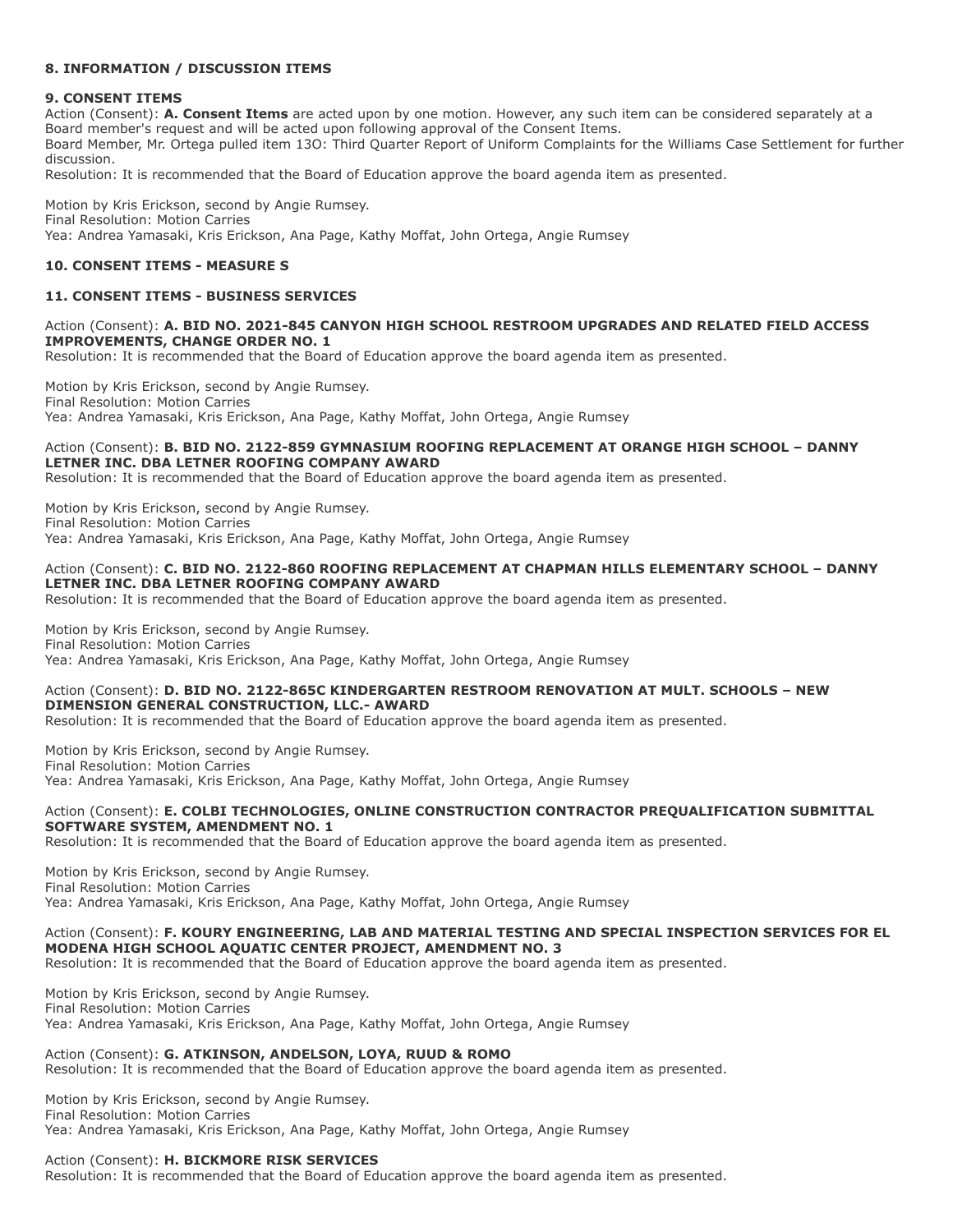# **8. INFORMATION / DISCUSSION ITEMS**

## **9. CONSENT ITEMS**

Action (Consent): **A. Consent Items** are acted upon by one motion. However, any such item can be considered separately at a Board member's request and will be acted upon following approval of the Consent Items.

Board Member, Mr. Ortega pulled item 13O: Third Quarter Report of Uniform Complaints for the Williams Case Settlement for further discussion.

Resolution: It is recommended that the Board of Education approve the board agenda item as presented.

Motion by Kris Erickson, second by Angie Rumsey. Final Resolution: Motion Carries Yea: Andrea Yamasaki, Kris Erickson, Ana Page, Kathy Moffat, John Ortega, Angie Rumsey

# **10. CONSENT ITEMS - MEASURE S**

# **11. CONSENT ITEMS - BUSINESS SERVICES**

# Action (Consent): **A. BID NO. 2021-845 CANYON HIGH SCHOOL RESTROOM UPGRADES AND RELATED FIELD ACCESS IMPROVEMENTS, CHANGE ORDER NO. 1**

Resolution: It is recommended that the Board of Education approve the board agenda item as presented.

Motion by Kris Erickson, second by Angie Rumsey. Final Resolution: Motion Carries Yea: Andrea Yamasaki, Kris Erickson, Ana Page, Kathy Moffat, John Ortega, Angie Rumsey

## Action (Consent): **B. BID NO. 2122-859 GYMNASIUM ROOFING REPLACEMENT AT ORANGE HIGH SCHOOL – DANNY LETNER INC. DBA LETNER ROOFING COMPANY AWARD**

Resolution: It is recommended that the Board of Education approve the board agenda item as presented.

Motion by Kris Erickson, second by Angie Rumsey. Final Resolution: Motion Carries Yea: Andrea Yamasaki, Kris Erickson, Ana Page, Kathy Moffat, John Ortega, Angie Rumsey

## Action (Consent): **C. BID NO. 2122-860 ROOFING REPLACEMENT AT CHAPMAN HILLS ELEMENTARY SCHOOL – DANNY LETNER INC. DBA LETNER ROOFING COMPANY AWARD**

Resolution: It is recommended that the Board of Education approve the board agenda item as presented.

Motion by Kris Erickson, second by Angie Rumsey. Final Resolution: Motion Carries Yea: Andrea Yamasaki, Kris Erickson, Ana Page, Kathy Moffat, John Ortega, Angie Rumsey

# Action (Consent): **D. BID NO. 2122-865C KINDERGARTEN RESTROOM RENOVATION AT MULT. SCHOOLS – NEW DIMENSION GENERAL CONSTRUCTION, LLC.- AWARD**

Resolution: It is recommended that the Board of Education approve the board agenda item as presented.

Motion by Kris Erickson, second by Angie Rumsey. Final Resolution: Motion Carries Yea: Andrea Yamasaki, Kris Erickson, Ana Page, Kathy Moffat, John Ortega, Angie Rumsey

# Action (Consent): **E. COLBI TECHNOLOGIES, ONLINE CONSTRUCTION CONTRACTOR PREQUALIFICATION SUBMITTAL SOFTWARE SYSTEM, AMENDMENT NO. 1**

Resolution: It is recommended that the Board of Education approve the board agenda item as presented.

Motion by Kris Erickson, second by Angie Rumsey. Final Resolution: Motion Carries Yea: Andrea Yamasaki, Kris Erickson, Ana Page, Kathy Moffat, John Ortega, Angie Rumsey

# Action (Consent): **F. KOURY ENGINEERING, LAB AND MATERIAL TESTING AND SPECIAL INSPECTION SERVICES FOR EL MODENA HIGH SCHOOL AQUATIC CENTER PROJECT, AMENDMENT NO. 3**

Resolution: It is recommended that the Board of Education approve the board agenda item as presented.

Motion by Kris Erickson, second by Angie Rumsey. Final Resolution: Motion Carries Yea: Andrea Yamasaki, Kris Erickson, Ana Page, Kathy Moffat, John Ortega, Angie Rumsey

Action (Consent): **G. ATKINSON, ANDELSON, LOYA, RUUD & ROMO**

Resolution: It is recommended that the Board of Education approve the board agenda item as presented.

Motion by Kris Erickson, second by Angie Rumsey. Final Resolution: Motion Carries Yea: Andrea Yamasaki, Kris Erickson, Ana Page, Kathy Moffat, John Ortega, Angie Rumsey

## Action (Consent): **H. BICKMORE RISK SERVICES**

Resolution: It is recommended that the Board of Education approve the board agenda item as presented.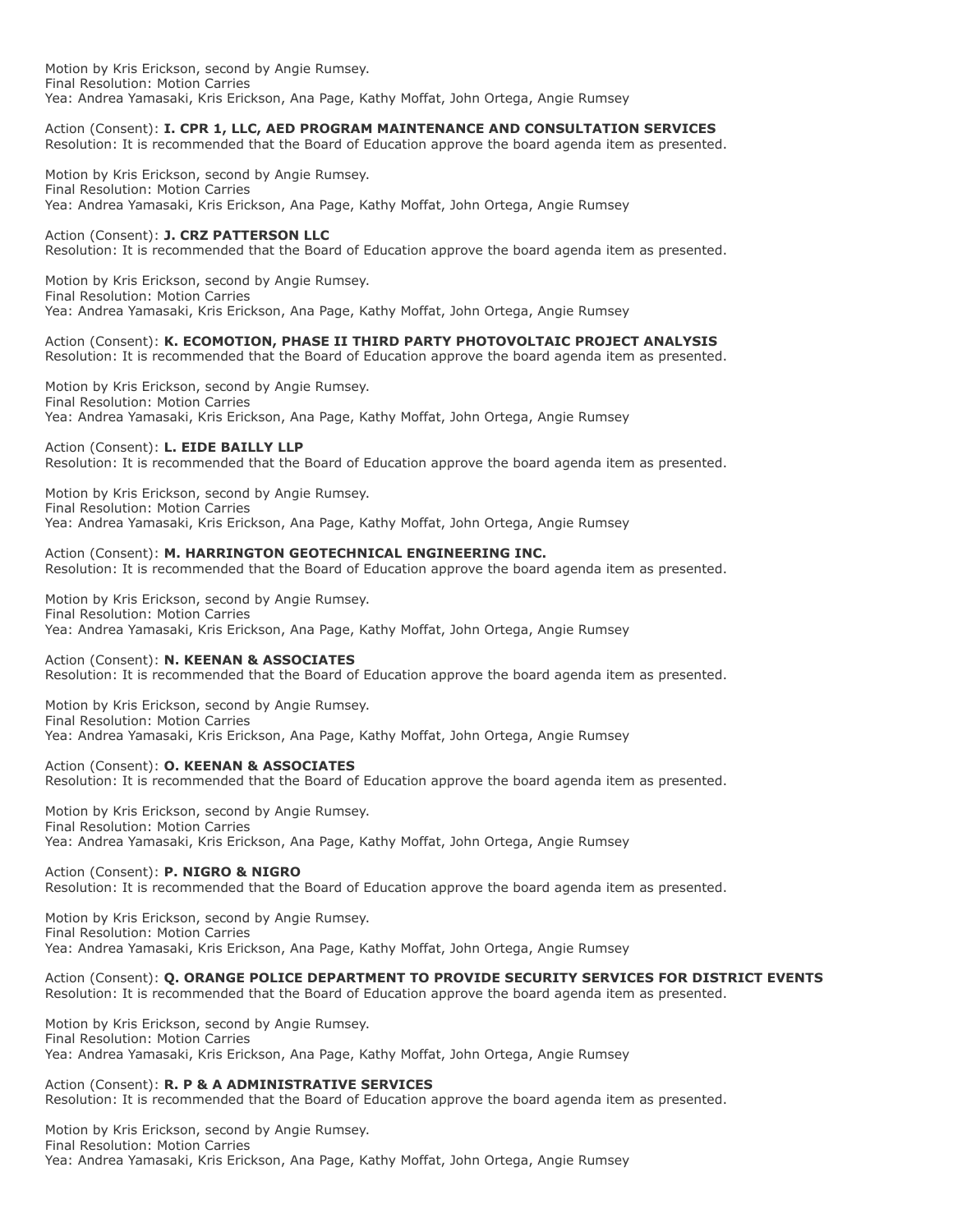Motion by Kris Erickson, second by Angie Rumsey. Final Resolution: Motion Carries Yea: Andrea Yamasaki, Kris Erickson, Ana Page, Kathy Moffat, John Ortega, Angie Rumsey

# Action (Consent): **I. CPR 1, LLC, AED PROGRAM MAINTENANCE AND CONSULTATION SERVICES**

Resolution: It is recommended that the Board of Education approve the board agenda item as presented.

Motion by Kris Erickson, second by Angie Rumsey. Final Resolution: Motion Carries Yea: Andrea Yamasaki, Kris Erickson, Ana Page, Kathy Moffat, John Ortega, Angie Rumsey

# Action (Consent): **J. CRZ PATTERSON LLC**

Resolution: It is recommended that the Board of Education approve the board agenda item as presented.

Motion by Kris Erickson, second by Angie Rumsey. Final Resolution: Motion Carries Yea: Andrea Yamasaki, Kris Erickson, Ana Page, Kathy Moffat, John Ortega, Angie Rumsey

Action (Consent): **K. ECOMOTION, PHASE II THIRD PARTY PHOTOVOLTAIC PROJECT ANALYSIS** Resolution: It is recommended that the Board of Education approve the board agenda item as presented.

Motion by Kris Erickson, second by Angie Rumsey. Final Resolution: Motion Carries Yea: Andrea Yamasaki, Kris Erickson, Ana Page, Kathy Moffat, John Ortega, Angie Rumsey

#### Action (Consent): **L. EIDE BAILLY LLP**

Resolution: It is recommended that the Board of Education approve the board agenda item as presented.

Motion by Kris Erickson, second by Angie Rumsey. Final Resolution: Motion Carries Yea: Andrea Yamasaki, Kris Erickson, Ana Page, Kathy Moffat, John Ortega, Angie Rumsey

## Action (Consent): **M. HARRINGTON GEOTECHNICAL ENGINEERING INC.**

Resolution: It is recommended that the Board of Education approve the board agenda item as presented.

Motion by Kris Erickson, second by Angie Rumsey. Final Resolution: Motion Carries Yea: Andrea Yamasaki, Kris Erickson, Ana Page, Kathy Moffat, John Ortega, Angie Rumsey

#### Action (Consent): **N. KEENAN & ASSOCIATES**

Resolution: It is recommended that the Board of Education approve the board agenda item as presented.

Motion by Kris Erickson, second by Angie Rumsey. Final Resolution: Motion Carries Yea: Andrea Yamasaki, Kris Erickson, Ana Page, Kathy Moffat, John Ortega, Angie Rumsey

## Action (Consent): **O. KEENAN & ASSOCIATES**

Resolution: It is recommended that the Board of Education approve the board agenda item as presented.

Motion by Kris Erickson, second by Angie Rumsey. Final Resolution: Motion Carries Yea: Andrea Yamasaki, Kris Erickson, Ana Page, Kathy Moffat, John Ortega, Angie Rumsey

## Action (Consent): **P. NIGRO & NIGRO**

Resolution: It is recommended that the Board of Education approve the board agenda item as presented.

Motion by Kris Erickson, second by Angie Rumsey. Final Resolution: Motion Carries Yea: Andrea Yamasaki, Kris Erickson, Ana Page, Kathy Moffat, John Ortega, Angie Rumsey

Action (Consent): **Q. ORANGE POLICE DEPARTMENT TO PROVIDE SECURITY SERVICES FOR DISTRICT EVENTS** Resolution: It is recommended that the Board of Education approve the board agenda item as presented.

Motion by Kris Erickson, second by Angie Rumsey. Final Resolution: Motion Carries Yea: Andrea Yamasaki, Kris Erickson, Ana Page, Kathy Moffat, John Ortega, Angie Rumsey

## Action (Consent): **R. P & A ADMINISTRATIVE SERVICES**

Resolution: It is recommended that the Board of Education approve the board agenda item as presented.

Motion by Kris Erickson, second by Angie Rumsey. Final Resolution: Motion Carries Yea: Andrea Yamasaki, Kris Erickson, Ana Page, Kathy Moffat, John Ortega, Angie Rumsey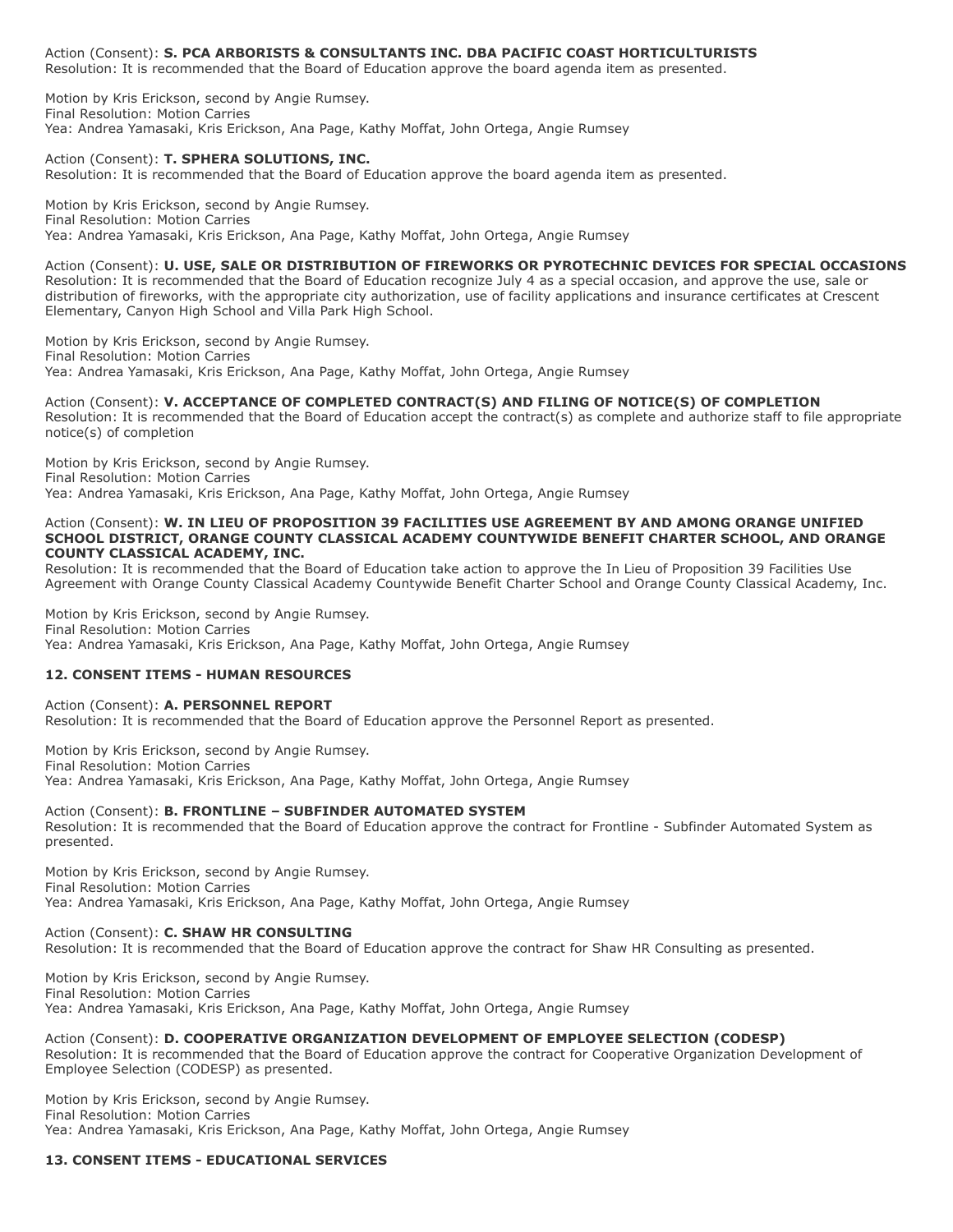Action (Consent): **S. PCA ARBORISTS & CONSULTANTS INC. DBA PACIFIC COAST HORTICULTURISTS** Resolution: It is recommended that the Board of Education approve the board agenda item as presented.

Motion by Kris Erickson, second by Angie Rumsey. Final Resolution: Motion Carries Yea: Andrea Yamasaki, Kris Erickson, Ana Page, Kathy Moffat, John Ortega, Angie Rumsey

# Action (Consent): **T. SPHERA SOLUTIONS, INC.**

Resolution: It is recommended that the Board of Education approve the board agenda item as presented.

Motion by Kris Erickson, second by Angie Rumsey. Final Resolution: Motion Carries Yea: Andrea Yamasaki, Kris Erickson, Ana Page, Kathy Moffat, John Ortega, Angie Rumsey

# Action (Consent): **U. USE, SALE OR DISTRIBUTION OF FIREWORKS OR PYROTECHNIC DEVICES FOR SPECIAL OCCASIONS**

Resolution: It is recommended that the Board of Education recognize July 4 as a special occasion, and approve the use, sale or distribution of fireworks, with the appropriate city authorization, use of facility applications and insurance certificates at Crescent Elementary, Canyon High School and Villa Park High School.

Motion by Kris Erickson, second by Angie Rumsey. Final Resolution: Motion Carries Yea: Andrea Yamasaki, Kris Erickson, Ana Page, Kathy Moffat, John Ortega, Angie Rumsey

## Action (Consent): **V. ACCEPTANCE OF COMPLETED CONTRACT(S) AND FILING OF NOTICE(S) OF COMPLETION** Resolution: It is recommended that the Board of Education accept the contract(s) as complete and authorize staff to file appropriate notice(s) of completion

Motion by Kris Erickson, second by Angie Rumsey. Final Resolution: Motion Carries Yea: Andrea Yamasaki, Kris Erickson, Ana Page, Kathy Moffat, John Ortega, Angie Rumsey

## Action (Consent): **W. IN LIEU OF PROPOSITION 39 FACILITIES USE AGREEMENT BY AND AMONG ORANGE UNIFIED SCHOOL DISTRICT, ORANGE COUNTY CLASSICAL ACADEMY COUNTYWIDE BENEFIT CHARTER SCHOOL, AND ORANGE COUNTY CLASSICAL ACADEMY, INC.**

Resolution: It is recommended that the Board of Education take action to approve the In Lieu of Proposition 39 Facilities Use Agreement with Orange County Classical Academy Countywide Benefit Charter School and Orange County Classical Academy, Inc.

Motion by Kris Erickson, second by Angie Rumsey. Final Resolution: Motion Carries Yea: Andrea Yamasaki, Kris Erickson, Ana Page, Kathy Moffat, John Ortega, Angie Rumsey

# **12. CONSENT ITEMS - HUMAN RESOURCES**

Action (Consent): **A. PERSONNEL REPORT** Resolution: It is recommended that the Board of Education approve the Personnel Report as presented.

Motion by Kris Erickson, second by Angie Rumsey. Final Resolution: Motion Carries Yea: Andrea Yamasaki, Kris Erickson, Ana Page, Kathy Moffat, John Ortega, Angie Rumsey

# Action (Consent): **B. FRONTLINE – SUBFINDER AUTOMATED SYSTEM**

Resolution: It is recommended that the Board of Education approve the contract for Frontline - Subfinder Automated System as presented.

Motion by Kris Erickson, second by Angie Rumsey. Final Resolution: Motion Carries Yea: Andrea Yamasaki, Kris Erickson, Ana Page, Kathy Moffat, John Ortega, Angie Rumsey

# Action (Consent): **C. SHAW HR CONSULTING**

Resolution: It is recommended that the Board of Education approve the contract for Shaw HR Consulting as presented.

Motion by Kris Erickson, second by Angie Rumsey. Final Resolution: Motion Carries Yea: Andrea Yamasaki, Kris Erickson, Ana Page, Kathy Moffat, John Ortega, Angie Rumsey

Action (Consent): **D. COOPERATIVE ORGANIZATION DEVELOPMENT OF EMPLOYEE SELECTION (CODESP)** Resolution: It is recommended that the Board of Education approve the contract for Cooperative Organization Development of Employee Selection (CODESP) as presented.

Motion by Kris Erickson, second by Angie Rumsey. Final Resolution: Motion Carries Yea: Andrea Yamasaki, Kris Erickson, Ana Page, Kathy Moffat, John Ortega, Angie Rumsey

# **13. CONSENT ITEMS - EDUCATIONAL SERVICES**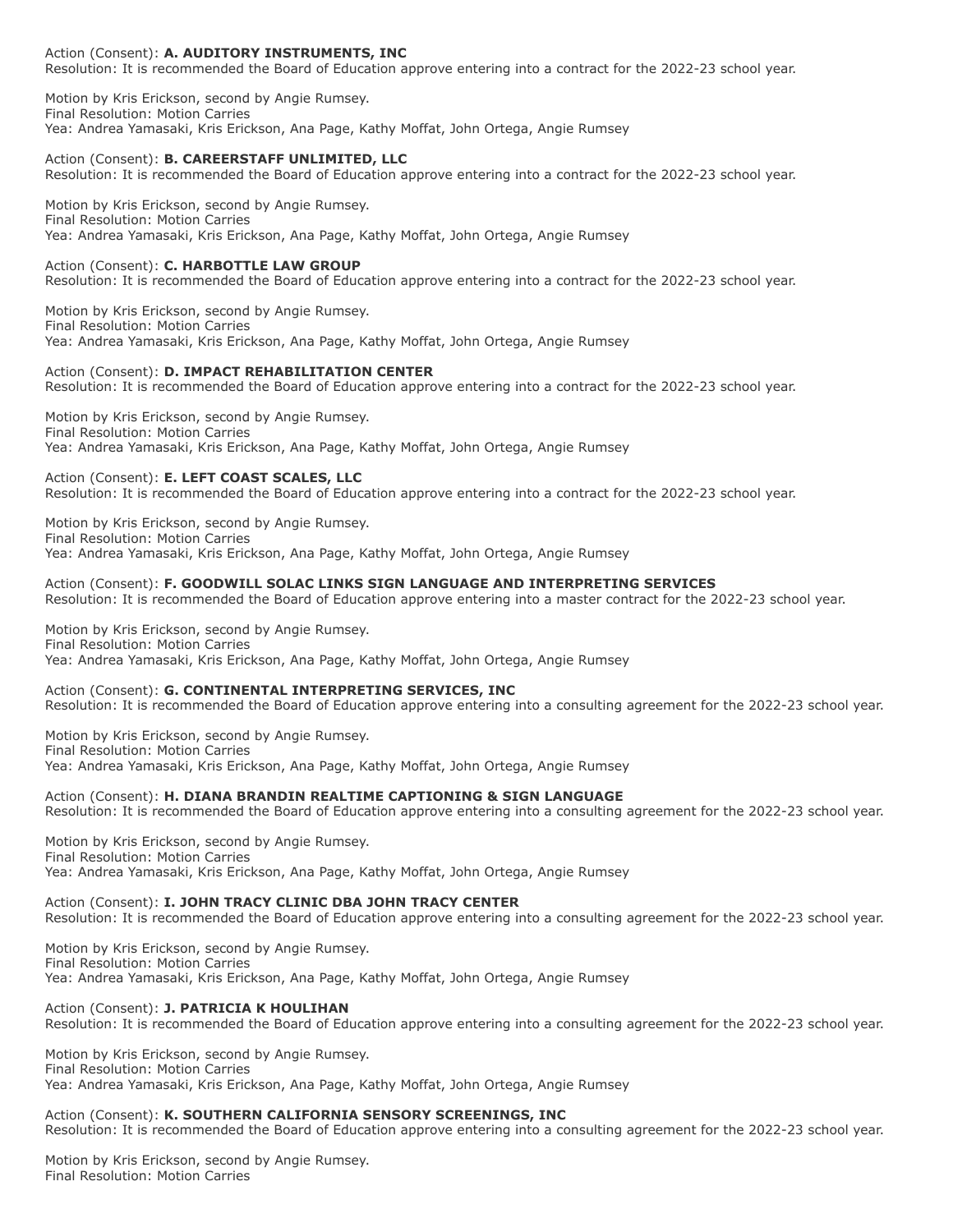# Action (Consent): **A. AUDITORY INSTRUMENTS, INC**

Resolution: It is recommended the Board of Education approve entering into a contract for the 2022-23 school year.

Motion by Kris Erickson, second by Angie Rumsey. Final Resolution: Motion Carries Yea: Andrea Yamasaki, Kris Erickson, Ana Page, Kathy Moffat, John Ortega, Angie Rumsey

#### Action (Consent): **B. CAREERSTAFF UNLIMITED, LLC**

Resolution: It is recommended the Board of Education approve entering into a contract for the 2022-23 school year.

Motion by Kris Erickson, second by Angie Rumsey. Final Resolution: Motion Carries Yea: Andrea Yamasaki, Kris Erickson, Ana Page, Kathy Moffat, John Ortega, Angie Rumsey

## Action (Consent): **C. HARBOTTLE LAW GROUP**

Resolution: It is recommended the Board of Education approve entering into a contract for the 2022-23 school year.

Motion by Kris Erickson, second by Angie Rumsey. Final Resolution: Motion Carries Yea: Andrea Yamasaki, Kris Erickson, Ana Page, Kathy Moffat, John Ortega, Angie Rumsey

#### Action (Consent): **D. IMPACT REHABILITATION CENTER**

Resolution: It is recommended the Board of Education approve entering into a contract for the 2022-23 school year.

Motion by Kris Erickson, second by Angie Rumsey. Final Resolution: Motion Carries Yea: Andrea Yamasaki, Kris Erickson, Ana Page, Kathy Moffat, John Ortega, Angie Rumsey

## Action (Consent): **E. LEFT COAST SCALES, LLC**

Resolution: It is recommended the Board of Education approve entering into a contract for the 2022-23 school year.

Motion by Kris Erickson, second by Angie Rumsey. Final Resolution: Motion Carries Yea: Andrea Yamasaki, Kris Erickson, Ana Page, Kathy Moffat, John Ortega, Angie Rumsey

# Action (Consent): **F. GOODWILL SOLAC LINKS SIGN LANGUAGE AND INTERPRETING SERVICES**

Resolution: It is recommended the Board of Education approve entering into a master contract for the 2022-23 school year.

Motion by Kris Erickson, second by Angie Rumsey. Final Resolution: Motion Carries Yea: Andrea Yamasaki, Kris Erickson, Ana Page, Kathy Moffat, John Ortega, Angie Rumsey

## Action (Consent): **G. CONTINENTAL INTERPRETING SERVICES, INC**

Resolution: It is recommended the Board of Education approve entering into a consulting agreement for the 2022-23 school year.

Motion by Kris Erickson, second by Angie Rumsey. Final Resolution: Motion Carries Yea: Andrea Yamasaki, Kris Erickson, Ana Page, Kathy Moffat, John Ortega, Angie Rumsey

Action (Consent): **H. DIANA BRANDIN REALTIME CAPTIONING & SIGN LANGUAGE**

Resolution: It is recommended the Board of Education approve entering into a consulting agreement for the 2022-23 school year.

Motion by Kris Erickson, second by Angie Rumsey. Final Resolution: Motion Carries Yea: Andrea Yamasaki, Kris Erickson, Ana Page, Kathy Moffat, John Ortega, Angie Rumsey

Action (Consent): **I. JOHN TRACY CLINIC DBA JOHN TRACY CENTER**

Resolution: It is recommended the Board of Education approve entering into a consulting agreement for the 2022-23 school year.

Motion by Kris Erickson, second by Angie Rumsey. Final Resolution: Motion Carries Yea: Andrea Yamasaki, Kris Erickson, Ana Page, Kathy Moffat, John Ortega, Angie Rumsey

## Action (Consent): **J. PATRICIA K HOULIHAN**

Resolution: It is recommended the Board of Education approve entering into a consulting agreement for the 2022-23 school year.

Motion by Kris Erickson, second by Angie Rumsey. Final Resolution: Motion Carries Yea: Andrea Yamasaki, Kris Erickson, Ana Page, Kathy Moffat, John Ortega, Angie Rumsey

## Action (Consent): **K. SOUTHERN CALIFORNIA SENSORY SCREENINGS, INC**

Resolution: It is recommended the Board of Education approve entering into a consulting agreement for the 2022-23 school year.

Motion by Kris Erickson, second by Angie Rumsey. Final Resolution: Motion Carries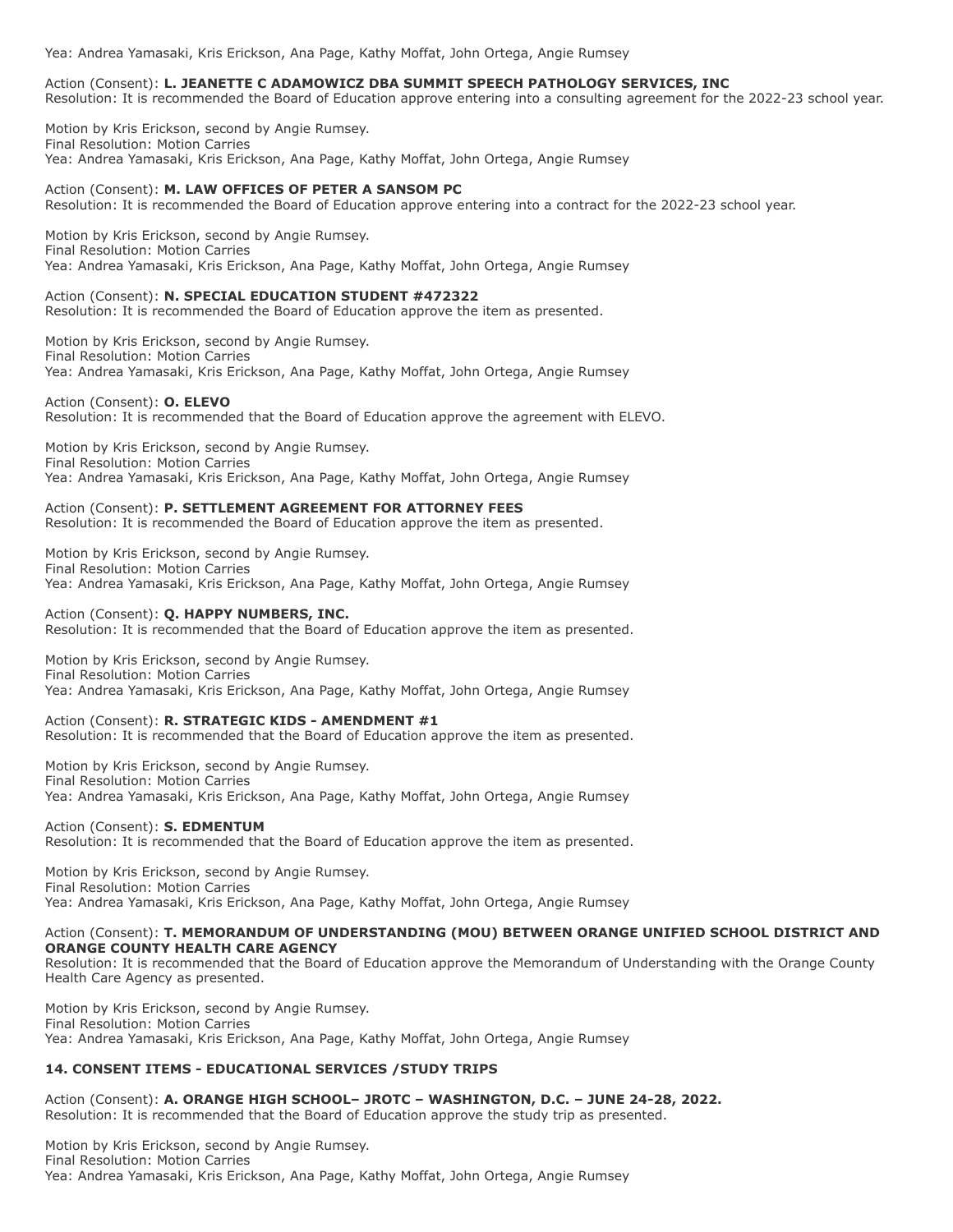Yea: Andrea Yamasaki, Kris Erickson, Ana Page, Kathy Moffat, John Ortega, Angie Rumsey

Action (Consent): **L. JEANETTE C ADAMOWICZ DBA SUMMIT SPEECH PATHOLOGY SERVICES, INC** Resolution: It is recommended the Board of Education approve entering into a consulting agreement for the 2022-23 school year.

Motion by Kris Erickson, second by Angie Rumsey. Final Resolution: Motion Carries Yea: Andrea Yamasaki, Kris Erickson, Ana Page, Kathy Moffat, John Ortega, Angie Rumsey

Action (Consent): **M. LAW OFFICES OF PETER A SANSOM PC**

Resolution: It is recommended the Board of Education approve entering into a contract for the 2022-23 school year.

Motion by Kris Erickson, second by Angie Rumsey. Final Resolution: Motion Carries Yea: Andrea Yamasaki, Kris Erickson, Ana Page, Kathy Moffat, John Ortega, Angie Rumsey

Action (Consent): **N. SPECIAL EDUCATION STUDENT #472322** Resolution: It is recommended the Board of Education approve the item as presented.

Motion by Kris Erickson, second by Angie Rumsey. Final Resolution: Motion Carries Yea: Andrea Yamasaki, Kris Erickson, Ana Page, Kathy Moffat, John Ortega, Angie Rumsey

Action (Consent): **O. ELEVO** Resolution: It is recommended that the Board of Education approve the agreement with ELEVO.

Motion by Kris Erickson, second by Angie Rumsey. Final Resolution: Motion Carries Yea: Andrea Yamasaki, Kris Erickson, Ana Page, Kathy Moffat, John Ortega, Angie Rumsey

Action (Consent): **P. SETTLEMENT AGREEMENT FOR ATTORNEY FEES** Resolution: It is recommended the Board of Education approve the item as presented.

Motion by Kris Erickson, second by Angie Rumsey.

Final Resolution: Motion Carries Yea: Andrea Yamasaki, Kris Erickson, Ana Page, Kathy Moffat, John Ortega, Angie Rumsey

Action (Consent): **Q. HAPPY NUMBERS, INC.** Resolution: It is recommended that the Board of Education approve the item as presented.

Motion by Kris Erickson, second by Angie Rumsey. Final Resolution: Motion Carries Yea: Andrea Yamasaki, Kris Erickson, Ana Page, Kathy Moffat, John Ortega, Angie Rumsey

Action (Consent): **R. STRATEGIC KIDS - AMENDMENT #1** Resolution: It is recommended that the Board of Education approve the item as presented.

Motion by Kris Erickson, second by Angie Rumsey. Final Resolution: Motion Carries Yea: Andrea Yamasaki, Kris Erickson, Ana Page, Kathy Moffat, John Ortega, Angie Rumsey

Action (Consent): **S. EDMENTUM** Resolution: It is recommended that the Board of Education approve the item as presented.

Motion by Kris Erickson, second by Angie Rumsey. Final Resolution: Motion Carries Yea: Andrea Yamasaki, Kris Erickson, Ana Page, Kathy Moffat, John Ortega, Angie Rumsey

# Action (Consent): **T. MEMORANDUM OF UNDERSTANDING (MOU) BETWEEN ORANGE UNIFIED SCHOOL DISTRICT AND ORANGE COUNTY HEALTH CARE AGENCY**

Resolution: It is recommended that the Board of Education approve the Memorandum of Understanding with the Orange County Health Care Agency as presented.

Motion by Kris Erickson, second by Angie Rumsey. Final Resolution: Motion Carries Yea: Andrea Yamasaki, Kris Erickson, Ana Page, Kathy Moffat, John Ortega, Angie Rumsey

# **14. CONSENT ITEMS - EDUCATIONAL SERVICES /STUDY TRIPS**

Action (Consent): **A. ORANGE HIGH SCHOOL– JROTC – WASHINGTON, D.C. – JUNE 24-28, 2022.** Resolution: It is recommended that the Board of Education approve the study trip as presented.

Motion by Kris Erickson, second by Angie Rumsey. Final Resolution: Motion Carries Yea: Andrea Yamasaki, Kris Erickson, Ana Page, Kathy Moffat, John Ortega, Angie Rumsey